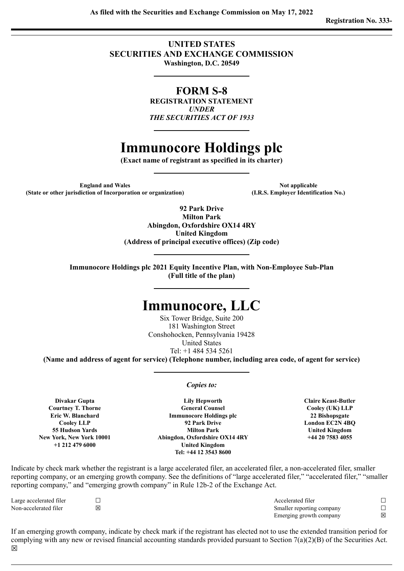# **UNITED STATES SECURITIES AND EXCHANGE COMMISSION Washington, D.C. 20549**

# **FORM S-8**

**REGISTRATION STATEMENT** *UNDER THE SECURITIES ACT OF 1933*

# **Immunocore Holdings plc**

**(Exact name of registrant as specified in its charter)**

**England** and Wales **Note applicable (State or other jurisdiction of Incorporation or organization) (I.R.S. Employer Identification No.)**

**92 Park Drive Milton Park Abingdon, Oxfordshire OX14 4RY United Kingdom (Address of principal executive offices) (Zip code)**

**Immunocore Holdings plc 2021 Equity Incentive Plan, with Non-Employee Sub-Plan (Full title of the plan)**

# **Immunocore, LLC**

Six Tower Bridge, Suite 200 181 Washington Street Conshohocken, Pennsylvania 19428 United States Tel: +1 484 534 5261

**(Name and address of agent for service) (Telephone number, including area code, of agent for service)**

*Copies to:*

**Divakar Gupta Courtney T. Thorne Eric W. Blanchard Cooley LLP 55 Hudson Yards New York, New York 10001 +1 212 479 6000**

**Lily Hepworth General Counsel Immunocore Holdings plc 92 Park Drive Milton Park Abingdon, Oxfordshire OX14 4RY United Kingdom Tel: +44 12 3543 8600**

**Claire Keast-Butler Cooley (UK) LLP 22 Bishopsgate London EC2N 4BQ United Kingdom +44 20 7583 4055**

Indicate by check mark whether the registrant is a large accelerated filer, an accelerated filer, a non-accelerated filer, smaller reporting company, or an emerging growth company. See the definitions of "large accelerated filer," "accelerated filer," "smaller reporting company," and "emerging growth company" in Rule 12b-2 of the Exchange Act.

Large accelerated filer ☐ Accelerated filer ☐ Non-accelerated filer **⊠** □ △ Smaller reporting company □ Emerging growth company  $\boxtimes$ 

If an emerging growth company, indicate by check mark if the registrant has elected not to use the extended transition period for complying with any new or revised financial accounting standards provided pursuant to Section 7(a)(2)(B) of the Securities Act.  $\overline{\mathsf{x}}$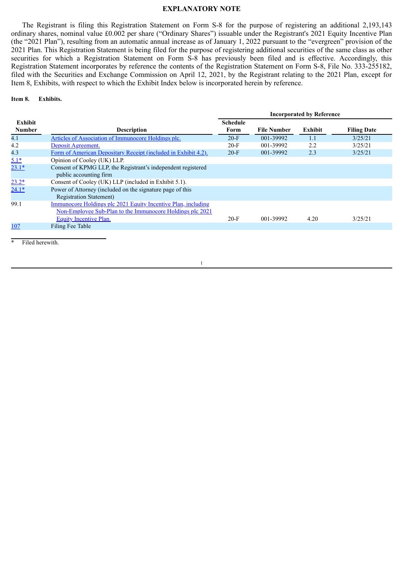#### **EXPLANATORY NOTE**

The Registrant is filing this Registration Statement on Form S-8 for the purpose of registering an additional 2,193,143 ordinary shares, nominal value £0.002 per share ("Ordinary Shares") issuable under the Registrant's 2021 Equity Incentive Plan (the "2021 Plan"), resulting from an automatic annual increase as of January 1, 2022 pursuant to the "evergreen" provision of the 2021 Plan. This Registration Statement is being filed for the purpose of registering additional securities of the same class as other securities for which a Registration Statement on Form S-8 has previously been filed and is effective. Accordingly, this Registration Statement incorporates by reference the contents of the Registration Statement on Form S-8, File No. 333-255182, filed with the Securities and Exchange Commission on April 12, 2021, by the Registrant relating to the 2021 Plan, except for Item 8, Exhibits, with respect to which the Exhibit Index below is incorporated herein by reference.

**Item 8. Exhibits.**

|                                 |                                                                                                                                                             | <b>Incorporated by Reference</b> |                    |         |                    |
|---------------------------------|-------------------------------------------------------------------------------------------------------------------------------------------------------------|----------------------------------|--------------------|---------|--------------------|
| <b>Exhibit</b><br><b>Number</b> | <b>Description</b>                                                                                                                                          | <b>Schedule</b><br>Form          | <b>File Number</b> | Exhibit | <b>Filing Date</b> |
| 4.1                             | Articles of Association of Immunocore Holdings plc.                                                                                                         | $20-F$                           | 001-39992          | 1.1     | 3/25/21            |
| 4.2                             | Deposit Agreement.                                                                                                                                          | $20-F$                           | 001-39992          | 2.2     | 3/25/21            |
| 4.3                             | Form of American Depositary Receipt (included in Exhibit 4.2).                                                                                              | $20-F$                           | 001-39992          | 2.3     | 3/25/21            |
| $5.1*$                          | Opinion of Cooley (UK) LLP.                                                                                                                                 |                                  |                    |         |                    |
| $23.1*$                         | Consent of KPMG LLP, the Registrant's independent registered<br>public accounting firm                                                                      |                                  |                    |         |                    |
| $23.2*$                         | Consent of Cooley (UK) LLP (included in Exhibit 5.1).                                                                                                       |                                  |                    |         |                    |
| $24.1*$                         | Power of Attorney (included on the signature page of this<br><b>Registration Statement</b> )                                                                |                                  |                    |         |                    |
| 99.1                            | Immunocore Holdings plc 2021 Equity Incentive Plan, including<br>Non-Employee Sub-Plan to the Immunocore Holdings plc 2021<br><b>Equity Incentive Plan.</b> | $20-F$                           | 001-39992          | 4.20    | 3/25/21            |
| <u>107</u>                      | Filing Fee Table                                                                                                                                            |                                  |                    |         |                    |
|                                 |                                                                                                                                                             |                                  |                    |         |                    |

1

Filed herewith.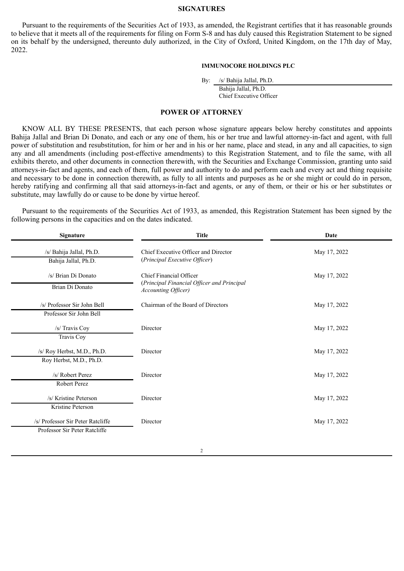#### **SIGNATURES**

Pursuant to the requirements of the Securities Act of 1933, as amended, the Registrant certifies that it has reasonable grounds to believe that it meets all of the requirements for filing on Form S-8 and has duly caused this Registration Statement to be signed on its behalf by the undersigned, thereunto duly authorized, in the City of Oxford, United Kingdom, on the 17th day of May, 2022.

#### **IMMUNOCORE HOLDINGS PLC**

By: /s/ Bahija Jallal, Ph.D.

Bahija Jallal, Ph.D. Chief Executive Officer

#### **POWER OF ATTORNEY**

<span id="page-3-0"></span>KNOW ALL BY THESE PRESENTS, that each person whose signature appears below hereby constitutes and appoints Bahija Jallal and Brian Di Donato, and each or any one of them, his or her true and lawful attorney-in-fact and agent, with full power of substitution and resubstitution, for him or her and in his or her name, place and stead, in any and all capacities, to sign any and all amendments (including post-effective amendments) to this Registration Statement, and to file the same, with all exhibits thereto, and other documents in connection therewith, with the Securities and Exchange Commission, granting unto said attorneys-in-fact and agents, and each of them, full power and authority to do and perform each and every act and thing requisite and necessary to be done in connection therewith, as fully to all intents and purposes as he or she might or could do in person, hereby ratifying and confirming all that said attorneys-in-fact and agents, or any of them, or their or his or her substitutes or substitute, may lawfully do or cause to be done by virtue hereof.

Pursuant to the requirements of the Securities Act of 1933, as amended, this Registration Statement has been signed by the following persons in the capacities and on the dates indicated.

| Signature                                                          | <b>Title</b>                                                                                         | Date         |  |  |
|--------------------------------------------------------------------|------------------------------------------------------------------------------------------------------|--------------|--|--|
| /s/ Bahija Jallal, Ph.D.<br>Bahija Jallal, Ph.D.                   | Chief Executive Officer and Director<br>(Principal Executive Officer)                                | May 17, 2022 |  |  |
| /s/ Brian Di Donato<br>Brian Di Donato                             | Chief Financial Officer<br>(Principal Financial Officer and Principal<br><b>Accounting Officer</b> ) | May 17, 2022 |  |  |
| /s/ Professor Sir John Bell<br>Professor Sir John Bell             | Chairman of the Board of Directors                                                                   | May 17, 2022 |  |  |
| /s/ Travis Coy<br>Travis Coy                                       | Director                                                                                             | May 17, 2022 |  |  |
| /s/ Roy Herbst, M.D., Ph.D.<br>Roy Herbst, M.D., Ph.D.             | Director                                                                                             | May 17, 2022 |  |  |
| /s/ Robert Perez<br>Robert Perez                                   | Director                                                                                             | May 17, 2022 |  |  |
| /s/ Kristine Peterson<br>Kristine Peterson                         | Director                                                                                             | May 17, 2022 |  |  |
| /s/ Professor Sir Peter Ratcliffe<br>Professor Sir Peter Ratcliffe | Director                                                                                             | May 17, 2022 |  |  |
|                                                                    |                                                                                                      |              |  |  |

2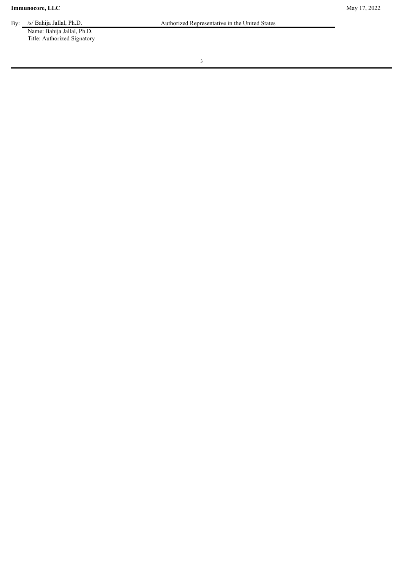Name: Bahija Jallal, Ph.D. Title: Authorized Signatory

3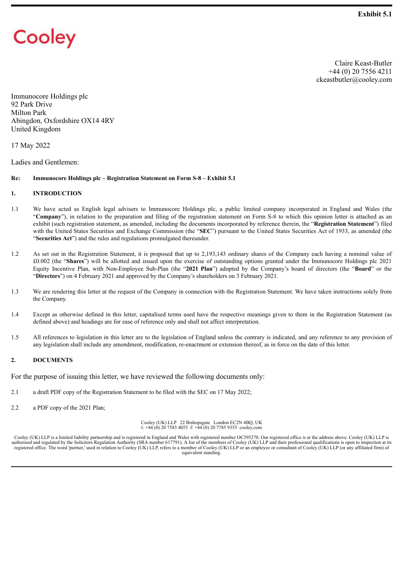# <span id="page-5-0"></span>Cooley

Claire Keast-Butler +44 (0) 20 7556 4211 ckeastbutler@cooley.com

Immunocore Holdings plc 92 Park Drive Milton Park Abingdon, Oxfordshire OX14 4RY United Kingdom

17 May 2022

Ladies and Gentlemen:

#### **Re: Immunocore Holdings plc – Registration Statement on Form S-8 – Exhibit 5.1**

#### **1. INTRODUCTION**

- 1.1 We have acted as English legal advisers to Immunocore Holdings plc, a public limited company incorporated in England and Wales (the "**Company**"), in relation to the preparation and filing of the registration statement on Form S-8 to which this opinion letter is attached as an exhibit (such registration statement, as amended, including the documents incorporated by reference therein, the "**Registration Statement**") filed with the United States Securities and Exchange Commission (the "**SEC**") pursuant to the United States Securities Act of 1933, as amended (the "**Securities Act**") and the rules and regulations promulgated thereunder.
- 1.2 As set out in the Registration Statement, it is proposed that up to 2,193,143 ordinary shares of the Company each having a nominal value of £0.002 (the "**Shares**") will be allotted and issued upon the exercise of outstanding options granted under the Immunocore Holdings plc 2021 Equity Incentive Plan, with Non-Employee Sub-Plan (the "**2021 Plan**") adopted by the Company's board of directors (the "**Board**" or the "**Directors**") on 4 February 2021 and approved by the Company's shareholders on 3 February 2021.
- 1.3 We are rendering this letter at the request of the Company in connection with the Registration Statement. We have taken instructions solely from the Company.
- 1.4 Except as otherwise defined in this letter, capitalised terms used have the respective meanings given to them in the Registration Statement (as defined above) and headings are for ease of reference only and shall not affect interpretation.
- 1.5 All references to legislation in this letter are to the legislation of England unless the contrary is indicated, and any reference to any provision of any legislation shall include any amendment, modification, re-enactment or extension thereof, as in force on the date of this letter.

#### **2. DOCUMENTS**

For the purpose of issuing this letter, we have reviewed the following documents only:

- 2.1 a draft PDF copy of the Registration Statement to be filed with the SEC on 17 May 2022;
- 2.2 a PDF copy of the 2021 Plan;

Cooley (UK) LLP 22 Bishopsgate London EC2N 4BQ, UK t: +44 (0) 20 7583 4055 f: +44 (0) 20 7785 9355 cooley.com

Cooley (UK) LLP is a limited liability partnership and is registered in England and Wales with registered number OC395270. Our registered office is at the address above. Cooley (UK) LLP is authorised and regulated by the Solicitors Regulation Authority (SRA number 617791). A list of the members of Cooley (UK) LLP and their professional qualifications is open to inspection at its registered office. The word ' equivalent standing.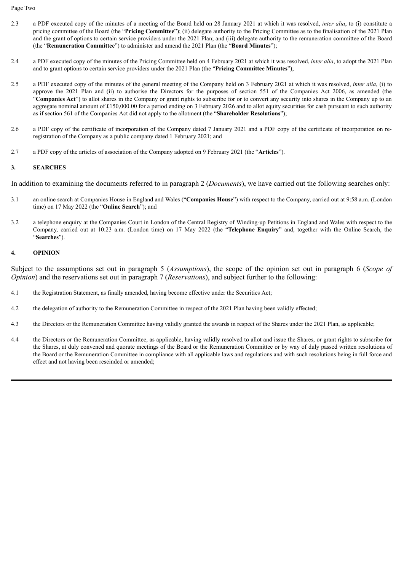Page Two

- 2.3 a PDF executed copy of the minutes of a meeting of the Board held on 28 January 2021 at which it was resolved, *inter alia*, to (i) constitute a pricing committee of the Board (the "**Pricing Committee**"); (ii) delegate authority to the Pricing Committee as to the finalisation of the 2021 Plan and the grant of options to certain service providers under the 2021 Plan; and (iii) delegate authority to the remuneration committee of the Board (the "**Remuneration Committee**") to administer and amend the 2021 Plan (the "**Board Minutes**");
- 2.4 a PDF executed copy of the minutes of the Pricing Committee held on 4 February 2021 at which it was resolved, *inter alia*, to adopt the 2021 Plan and to grant options to certain service providers under the 2021 Plan (the "**Pricing Committee Minutes**");
- 2.5 a PDF executed copy of the minutes of the general meeting of the Company held on 3 February 2021 at which it was resolved, *inter alia*, (i) to approve the 2021 Plan and (ii) to authorise the Directors for the purposes of section 551 of the Companies Act 2006, as amended (the "**Companies Act**") to allot shares in the Company or grant rights to subscribe for or to convert any security into shares in the Company up to an aggregate nominal amount of £150,000.00 for a period ending on 3 February 2026 and to allot equity securities for cash pursuant to such authority as if section 561 of the Companies Act did not apply to the allotment (the "**Shareholder Resolutions**");
- 2.6 a PDF copy of the certificate of incorporation of the Company dated 7 January 2021 and a PDF copy of the certificate of incorporation on reregistration of the Company as a public company dated 1 February 2021; and
- 2.7 a PDF copy of the articles of association of the Company adopted on 9 February 2021 (the "**Articles**").

#### **3. SEARCHES**

In addition to examining the documents referred to in paragraph 2 (*Documents*), we have carried out the following searches only:

- 3.1 an online search at Companies House in England and Wales ("**Companies House**") with respect to the Company, carried out at 9:58 a.m. (London time) on 17 May 2022 (the "**Online Search**"); and
- 3.2 a telephone enquiry at the Companies Court in London of the Central Registry of Winding-up Petitions in England and Wales with respect to the Company, carried out at 10:23 a.m. (London time) on 17 May 2022 (the "**Telephone Enquiry**" and, together with the Online Search, the "**Searches**").

#### **4. OPINION**

Subject to the assumptions set out in paragraph 5 (*Assumptions*), the scope of the opinion set out in paragraph 6 (*Scope of Opinion*) and the reservations set out in paragraph 7 (*Reservations*), and subject further to the following:

- 4.1 the Registration Statement, as finally amended, having become effective under the Securities Act;
- 4.2 the delegation of authority to the Remuneration Committee in respect of the 2021 Plan having been validly effected;
- 4.3 the Directors or the Remuneration Committee having validly granted the awards in respect of the Shares under the 2021 Plan, as applicable;
- 4.4 the Directors or the Remuneration Committee, as applicable, having validly resolved to allot and issue the Shares, or grant rights to subscribe for the Shares, at duly convened and quorate meetings of the Board or the Remuneration Committee or by way of duly passed written resolutions of the Board or the Remuneration Committee in compliance with all applicable laws and regulations and with such resolutions being in full force and effect and not having been rescinded or amended;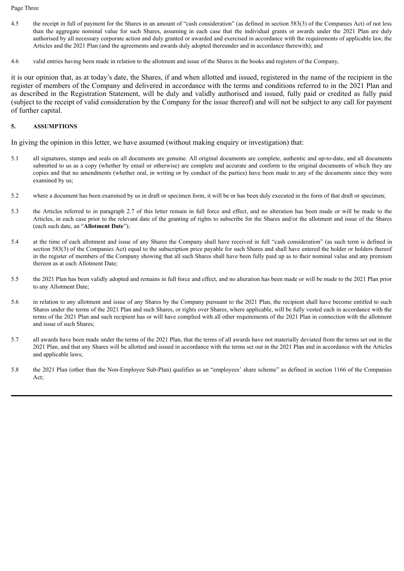#### Page Three

- 4.5 the receipt in full of payment for the Shares in an amount of "cash consideration" (as defined in section 583(3) of the Companies Act) of not less than the aggregate nominal value for such Shares, assuming in each case that the individual grants or awards under the 2021 Plan are duly authorised by all necessary corporate action and duly granted or awarded and exercised in accordance with the requirements of applicable law, the Articles and the 2021 Plan (and the agreements and awards duly adopted thereunder and in accordance therewith); and
- 4.6 valid entries having been made in relation to the allotment and issue of the Shares in the books and registers of the Company,

it is our opinion that, as at today's date, the Shares, if and when allotted and issued, registered in the name of the recipient in the register of members of the Company and delivered in accordance with the terms and conditions referred to in the 2021 Plan and as described in the Registration Statement, will be duly and validly authorised and issued, fully paid or credited as fully paid (subject to the receipt of valid consideration by the Company for the issue thereof) and will not be subject to any call for payment of further capital.

#### **5. ASSUMPTIONS**

In giving the opinion in this letter, we have assumed (without making enquiry or investigation) that:

- 5.1 all signatures, stamps and seals on all documents are genuine. All original documents are complete, authentic and up-to-date, and all documents submitted to us as a copy (whether by email or otherwise) are complete and accurate and conform to the original documents of which they are copies and that no amendments (whether oral, in writing or by conduct of the parties) have been made to any of the documents since they were examined by us;
- 5.2 where a document has been examined by us in draft or specimen form, it will be or has been duly executed in the form of that draft or specimen;
- 5.3 the Articles referred to in paragraph 2.7 of this letter remain in full force and effect, and no alteration has been made or will be made to the Articles, in each case prior to the relevant date of the granting of rights to subscribe for the Shares and/or the allotment and issue of the Shares (each such date, an "**Allotment Date**");
- 5.4 at the time of each allotment and issue of any Shares the Company shall have received in full "cash consideration" (as such term is defined in section 583(3) of the Companies Act) equal to the subscription price payable for such Shares and shall have entered the holder or holders thereof in the register of members of the Company showing that all such Shares shall have been fully paid up as to their nominal value and any premium thereon as at each Allotment Date;
- 5.5 the 2021 Plan has been validly adopted and remains in full force and effect, and no alteration has been made or will be made to the 2021 Plan prior to any Allotment Date;
- 5.6 in relation to any allotment and issue of any Shares by the Company pursuant to the 2021 Plan, the recipient shall have become entitled to such Shares under the terms of the 2021 Plan and such Shares, or rights over Shares, where applicable, will be fully vested each in accordance with the terms of the 2021 Plan and such recipient has or will have complied with all other requirements of the 2021 Plan in connection with the allotment and issue of such Shares;
- 5.7 all awards have been made under the terms of the 2021 Plan, that the terms of all awards have not materially deviated from the terms set out in the 2021 Plan, and that any Shares will be allotted and issued in accordance with the terms set out in the 2021 Plan and in accordance with the Articles and applicable laws;
- 5.8 the 2021 Plan (other than the Non-Employee Sub-Plan) qualifies as an "employees' share scheme" as defined in section 1166 of the Companies Act;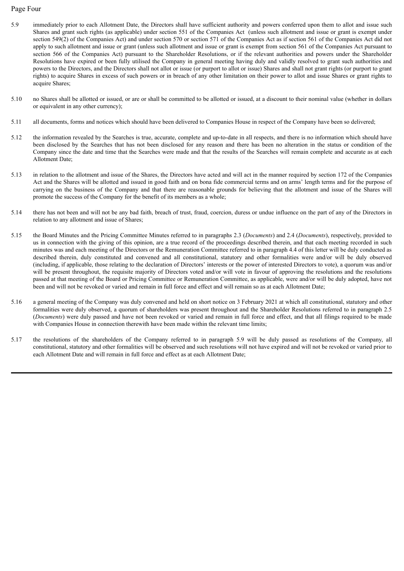#### Page Four

- 5.9 immediately prior to each Allotment Date, the Directors shall have sufficient authority and powers conferred upon them to allot and issue such Shares and grant such rights (as applicable) under section 551 of the Companies Act (unless such allotment and issue or grant is exempt under section 549(2) of the Companies Act) and under section 570 or section 571 of the Companies Act as if section 561 of the Companies Act did not apply to such allotment and issue or grant (unless such allotment and issue or grant is exempt from section 561 of the Companies Act pursuant to section 566 of the Companies Act) pursuant to the Shareholder Resolutions, or if the relevant authorities and powers under the Shareholder Resolutions have expired or been fully utilised the Company in general meeting having duly and validly resolved to grant such authorities and powers to the Directors, and the Directors shall not allot or issue (or purport to allot or issue) Shares and shall not grant rights (or purport to grant rights) to acquire Shares in excess of such powers or in breach of any other limitation on their power to allot and issue Shares or grant rights to acquire Shares;
- 5.10 no Shares shall be allotted or issued, or are or shall be committed to be allotted or issued, at a discount to their nominal value (whether in dollars or equivalent in any other currency);
- 5.11 all documents, forms and notices which should have been delivered to Companies House in respect of the Company have been so delivered;
- 5.12 the information revealed by the Searches is true, accurate, complete and up-to-date in all respects, and there is no information which should have been disclosed by the Searches that has not been disclosed for any reason and there has been no alteration in the status or condition of the Company since the date and time that the Searches were made and that the results of the Searches will remain complete and accurate as at each Allotment Date;
- 5.13 in relation to the allotment and issue of the Shares, the Directors have acted and will act in the manner required by section 172 of the Companies Act and the Shares will be allotted and issued in good faith and on bona fide commercial terms and on arms' length terms and for the purpose of carrying on the business of the Company and that there are reasonable grounds for believing that the allotment and issue of the Shares will promote the success of the Company for the benefit of its members as a whole;
- 5.14 there has not been and will not be any bad faith, breach of trust, fraud, coercion, duress or undue influence on the part of any of the Directors in relation to any allotment and issue of Shares;
- 5.15 the Board Minutes and the Pricing Committee Minutes referred to in paragraphs 2.3 (*Documents*) and 2.4 (*Documents*), respectively, provided to us in connection with the giving of this opinion, are a true record of the proceedings described therein, and that each meeting recorded in such minutes was and each meeting of the Directors or the Remuneration Committee referred to in paragraph 4.4 of this letter will be duly conducted as described therein, duly constituted and convened and all constitutional, statutory and other formalities were and/or will be duly observed (including, if applicable, those relating to the declaration of Directors' interests or the power of interested Directors to vote), a quorum was and/or will be present throughout, the requisite majority of Directors voted and/or will vote in favour of approving the resolutions and the resolutions passed at that meeting of the Board or Pricing Committee or Remuneration Committee, as applicable, were and/or will be duly adopted, have not been and will not be revoked or varied and remain in full force and effect and will remain so as at each Allotment Date;
- 5.16 a general meeting of the Company was duly convened and held on short notice on 3 February 2021 at which all constitutional, statutory and other formalities were duly observed, a quorum of shareholders was present throughout and the Shareholder Resolutions referred to in paragraph 2.5 (*Documents*) were duly passed and have not been revoked or varied and remain in full force and effect, and that all filings required to be made with Companies House in connection therewith have been made within the relevant time limits;
- 5.17 the resolutions of the shareholders of the Company referred to in paragraph 5.9 will be duly passed as resolutions of the Company, all constitutional, statutory and other formalities will be observed and such resolutions will not have expired and will not be revoked or varied prior to each Allotment Date and will remain in full force and effect as at each Allotment Date;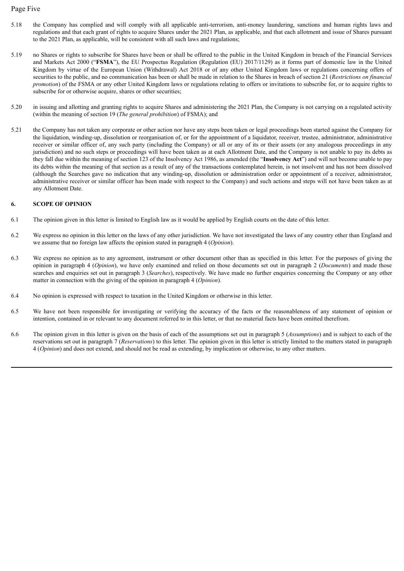#### Page Five

- 5.18 the Company has complied and will comply with all applicable anti-terrorism, anti-money laundering, sanctions and human rights laws and regulations and that each grant of rights to acquire Shares under the 2021 Plan, as applicable, and that each allotment and issue of Shares pursuant to the 2021 Plan, as applicable, will be consistent with all such laws and regulations;
- 5.19 no Shares or rights to subscribe for Shares have been or shall be offered to the public in the United Kingdom in breach of the Financial Services and Markets Act 2000 ("**FSMA**"), the EU Prospectus Regulation (Regulation (EU) 2017/1129) as it forms part of domestic law in the United Kingdom by virtue of the European Union (Withdrawal) Act 2018 or of any other United Kingdom laws or regulations concerning offers of securities to the public, and no communication has been or shall be made in relation to the Shares in breach of section 21 (*Restrictions on financial promotion*) of the FSMA or any other United Kingdom laws or regulations relating to offers or invitations to subscribe for, or to acquire rights to subscribe for or otherwise acquire, shares or other securities;
- 5.20 in issuing and allotting and granting rights to acquire Shares and administering the 2021 Plan, the Company is not carrying on a regulated activity (within the meaning of section 19 (*The general prohibition*) of FSMA); and
- 5.21 the Company has not taken any corporate or other action nor have any steps been taken or legal proceedings been started against the Company for the liquidation, winding-up, dissolution or reorganisation of, or for the appointment of a liquidator, receiver, trustee, administrator, administrative receiver or similar officer of, any such party (including the Company) or all or any of its or their assets (or any analogous proceedings in any jurisdiction) and no such steps or proceedings will have been taken as at each Allotment Date, and the Company is not unable to pay its debts as they fall due within the meaning of section 123 of the Insolvency Act 1986, as amended (the "**Insolvency Act**") and will not become unable to pay its debts within the meaning of that section as a result of any of the transactions contemplated herein, is not insolvent and has not been dissolved (although the Searches gave no indication that any winding-up, dissolution or administration order or appointment of a receiver, administrator, administrative receiver or similar officer has been made with respect to the Company) and such actions and steps will not have been taken as at any Allotment Date.

#### **6. SCOPE OF OPINION**

- 6.1 The opinion given in this letter is limited to English law as it would be applied by English courts on the date of this letter.
- 6.2 We express no opinion in this letter on the laws of any other jurisdiction. We have not investigated the laws of any country other than England and we assume that no foreign law affects the opinion stated in paragraph 4 (*Opinion*).
- 6.3 We express no opinion as to any agreement, instrument or other document other than as specified in this letter. For the purposes of giving the opinion in paragraph 4 (*Opinion*), we have only examined and relied on those documents set out in paragraph 2 (*Documents*) and made those searches and enquiries set out in paragraph 3 (*Searches*), respectively. We have made no further enquiries concerning the Company or any other matter in connection with the giving of the opinion in paragraph 4 (*Opinion*).
- 6.4 No opinion is expressed with respect to taxation in the United Kingdom or otherwise in this letter.
- 6.5 We have not been responsible for investigating or verifying the accuracy of the facts or the reasonableness of any statement of opinion or intention, contained in or relevant to any document referred to in this letter, or that no material facts have been omitted therefrom.
- 6.6 The opinion given in this letter is given on the basis of each of the assumptions set out in paragraph 5 (*Assumptions*) and is subject to each of the reservations set out in paragraph 7 (*Reservations*) to this letter. The opinion given in this letter is strictly limited to the matters stated in paragraph 4 (*Opinion*) and does not extend, and should not be read as extending, by implication or otherwise, to any other matters.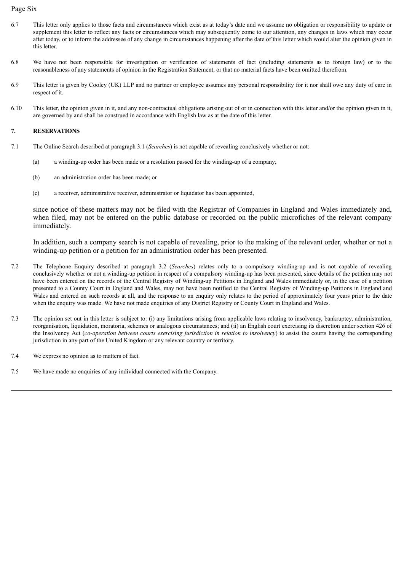#### Page Six

- 6.7 This letter only applies to those facts and circumstances which exist as at today's date and we assume no obligation or responsibility to update or supplement this letter to reflect any facts or circumstances which may subsequently come to our attention, any changes in laws which may occur after today, or to inform the addressee of any change in circumstances happening after the date of this letter which would alter the opinion given in this letter.
- 6.8 We have not been responsible for investigation or verification of statements of fact (including statements as to foreign law) or to the reasonableness of any statements of opinion in the Registration Statement, or that no material facts have been omitted therefrom.
- 6.9 This letter is given by Cooley (UK) LLP and no partner or employee assumes any personal responsibility for it nor shall owe any duty of care in respect of it.
- 6.10 This letter, the opinion given in it, and any non-contractual obligations arising out of or in connection with this letter and/or the opinion given in it, are governed by and shall be construed in accordance with English law as at the date of this letter.

#### **7. RESERVATIONS**

- 7.1 The Online Search described at paragraph 3.1 (*Searches*) is not capable of revealing conclusively whether or not:
	- (a) a winding-up order has been made or a resolution passed for the winding-up of a company;
	- (b) an administration order has been made; or
	- (c) a receiver, administrative receiver, administrator or liquidator has been appointed,

since notice of these matters may not be filed with the Registrar of Companies in England and Wales immediately and, when filed, may not be entered on the public database or recorded on the public microfiches of the relevant company immediately.

In addition, such a company search is not capable of revealing, prior to the making of the relevant order, whether or not a winding-up petition or a petition for an administration order has been presented.

- 7.2 The Telephone Enquiry described at paragraph 3.2 (*Searches*) relates only to a compulsory winding-up and is not capable of revealing conclusively whether or not a winding-up petition in respect of a compulsory winding-up has been presented, since details of the petition may not have been entered on the records of the Central Registry of Winding-up Petitions in England and Wales immediately or, in the case of a petition presented to a County Court in England and Wales, may not have been notified to the Central Registry of Winding-up Petitions in England and Wales and entered on such records at all, and the response to an enquiry only relates to the period of approximately four years prior to the date when the enquiry was made. We have not made enquiries of any District Registry or County Court in England and Wales.
- 7.3 The opinion set out in this letter is subject to: (i) any limitations arising from applicable laws relating to insolvency, bankruptcy, administration, reorganisation, liquidation, moratoria, schemes or analogous circumstances; and (ii) an English court exercising its discretion under section 426 of the Insolvency Act (*co-operation between courts exercising jurisdiction in relation to insolvency*) to assist the courts having the corresponding jurisdiction in any part of the United Kingdom or any relevant country or territory.
- 7.4 We express no opinion as to matters of fact.
- 7.5 We have made no enquiries of any individual connected with the Company.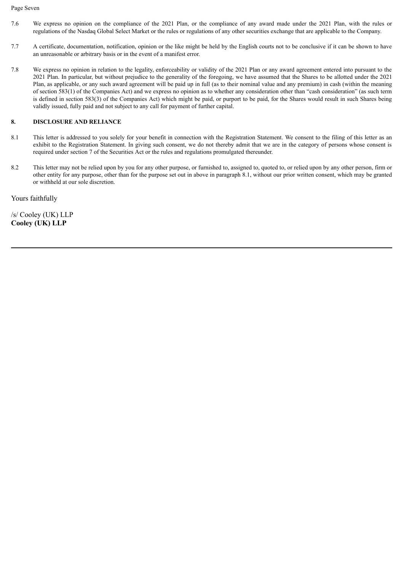#### Page Seven

- 7.6 We express no opinion on the compliance of the 2021 Plan, or the compliance of any award made under the 2021 Plan, with the rules or regulations of the Nasdaq Global Select Market or the rules or regulations of any other securities exchange that are applicable to the Company.
- 7.7 A certificate, documentation, notification, opinion or the like might be held by the English courts not to be conclusive if it can be shown to have an unreasonable or arbitrary basis or in the event of a manifest error.
- 7.8 We express no opinion in relation to the legality, enforceability or validity of the 2021 Plan or any award agreement entered into pursuant to the 2021 Plan. In particular, but without prejudice to the generality of the foregoing, we have assumed that the Shares to be allotted under the 2021 Plan, as applicable, or any such award agreement will be paid up in full (as to their nominal value and any premium) in cash (within the meaning of section 583(1) of the Companies Act) and we express no opinion as to whether any consideration other than "cash consideration" (as such term is defined in section 583(3) of the Companies Act) which might be paid, or purport to be paid, for the Shares would result in such Shares being validly issued, fully paid and not subject to any call for payment of further capital.

#### **8. DISCLOSURE AND RELIANCE**

- 8.1 This letter is addressed to you solely for your benefit in connection with the Registration Statement. We consent to the filing of this letter as an exhibit to the Registration Statement. In giving such consent, we do not thereby admit that we are in the category of persons whose consent is required under section 7 of the Securities Act or the rules and regulations promulgated thereunder.
- 8.2 This letter may not be relied upon by you for any other purpose, or furnished to, assigned to, quoted to, or relied upon by any other person, firm or other entity for any purpose, other than for the purpose set out in above in paragraph 8.1, without our prior written consent, which may be granted or withheld at our sole discretion.

Yours faithfully

/s/ Cooley (UK) LLP **Cooley (UK) LLP**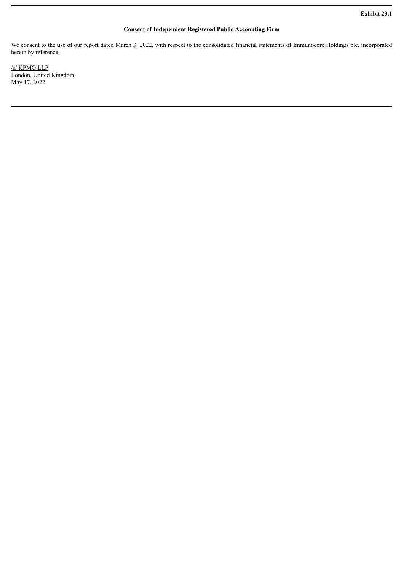#### **Consent of Independent Registered Public Accounting Firm**

<span id="page-12-0"></span>We consent to the use of our report dated March 3, 2022, with respect to the consolidated financial statements of Immunocore Holdings plc, incorporated herein by reference.

/s/ KPMG LLP London, United Kingdom May 17, 2022